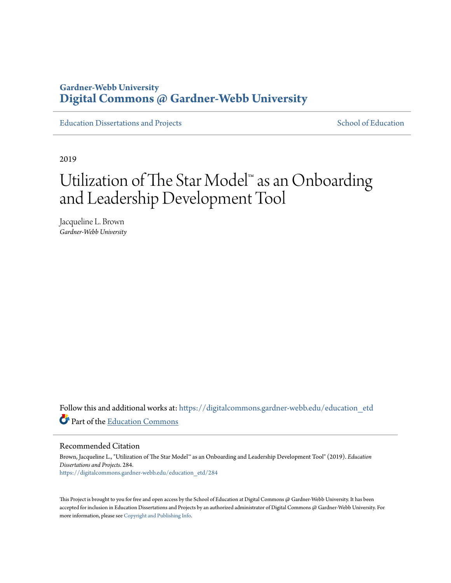# **Gardner-Webb University [Digital Commons @ Gardner-Webb University](https://digitalcommons.gardner-webb.edu?utm_source=digitalcommons.gardner-webb.edu%2Feducation_etd%2F284&utm_medium=PDF&utm_campaign=PDFCoverPages)**

[Education Dissertations and Projects](https://digitalcommons.gardner-webb.edu/education_etd?utm_source=digitalcommons.gardner-webb.edu%2Feducation_etd%2F284&utm_medium=PDF&utm_campaign=PDFCoverPages) [School of Education](https://digitalcommons.gardner-webb.edu/education?utm_source=digitalcommons.gardner-webb.edu%2Feducation_etd%2F284&utm_medium=PDF&utm_campaign=PDFCoverPages)

2019

# Utilization of The Star Model™ as an Onboarding and Leadership Development Tool

Jacqueline L. Brown *Gardner-Webb University*

Follow this and additional works at: [https://digitalcommons.gardner-webb.edu/education\\_etd](https://digitalcommons.gardner-webb.edu/education_etd?utm_source=digitalcommons.gardner-webb.edu%2Feducation_etd%2F284&utm_medium=PDF&utm_campaign=PDFCoverPages) Part of the [Education Commons](http://network.bepress.com/hgg/discipline/784?utm_source=digitalcommons.gardner-webb.edu%2Feducation_etd%2F284&utm_medium=PDF&utm_campaign=PDFCoverPages)

Recommended Citation

Brown, Jacqueline L., "Utilization of The Star Model™ as an Onboarding and Leadership Development Tool" (2019). *Education Dissertations and Projects*. 284. [https://digitalcommons.gardner-webb.edu/education\\_etd/284](https://digitalcommons.gardner-webb.edu/education_etd/284?utm_source=digitalcommons.gardner-webb.edu%2Feducation_etd%2F284&utm_medium=PDF&utm_campaign=PDFCoverPages)

This Project is brought to you for free and open access by the School of Education at Digital Commons @ Gardner-Webb University. It has been accepted for inclusion in Education Dissertations and Projects by an authorized administrator of Digital Commons @ Gardner-Webb University. For more information, please see [Copyright and Publishing Info](https://digitalcommons.gardner-webb.edu/copyright_publishing.html).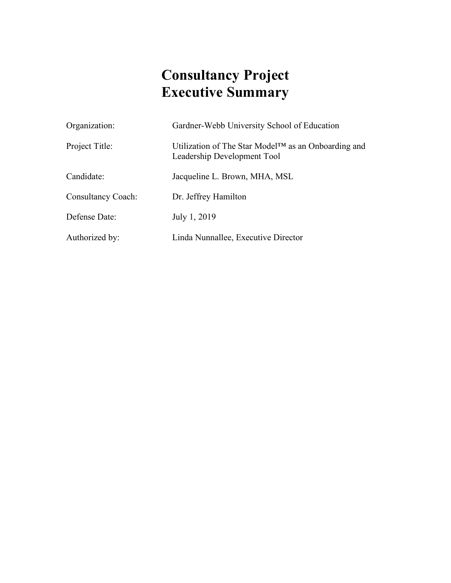# **Consultancy Project Executive Summary**

| Organization:             | Gardner-Webb University School of Education                                                     |
|---------------------------|-------------------------------------------------------------------------------------------------|
| Project Title:            | Utilization of The Star Model <sup>TM</sup> as an Onboarding and<br>Leadership Development Tool |
| Candidate:                | Jacqueline L. Brown, MHA, MSL                                                                   |
| <b>Consultancy Coach:</b> | Dr. Jeffrey Hamilton                                                                            |
| Defense Date:             | July 1, 2019                                                                                    |
| Authorized by:            | Linda Nunnallee, Executive Director                                                             |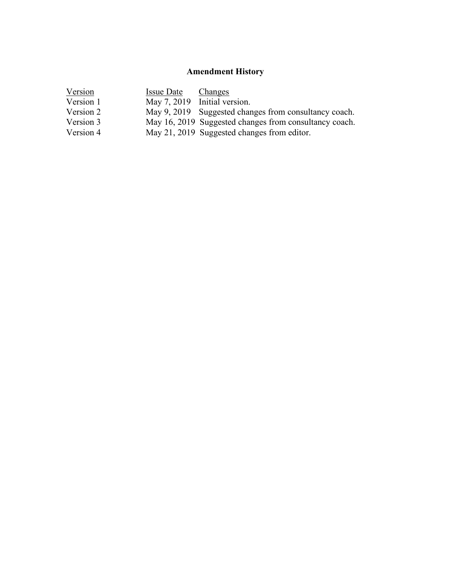# **Amendment History**

| Version   | <b>Issue Date</b> | Changes                                                |
|-----------|-------------------|--------------------------------------------------------|
| Version 1 |                   | May 7, 2019 Initial version.                           |
| Version 2 |                   | May 9, 2019 Suggested changes from consultancy coach.  |
| Version 3 |                   | May 16, 2019 Suggested changes from consultancy coach. |
| Version 4 |                   | May 21, 2019 Suggested changes from editor.            |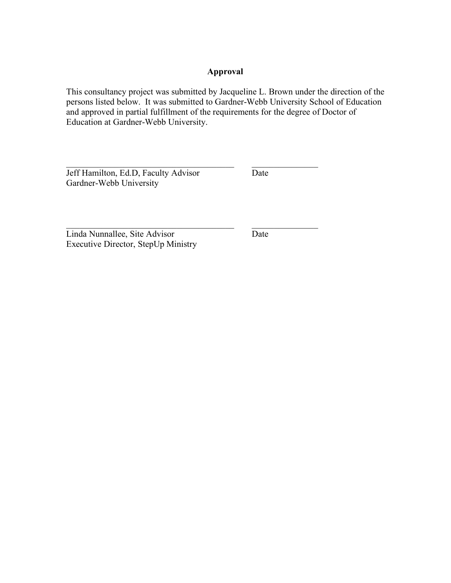# **Approval**

This consultancy project was submitted by Jacqueline L. Brown under the direction of the persons listed below. It was submitted to Gardner-Webb University School of Education and approved in partial fulfillment of the requirements for the degree of Doctor of Education at Gardner-Webb University.

 $\mathcal{L}_\text{max}$  , and the contribution of the contribution of  $\mathcal{L}_\text{max}$ 

 $\mathcal{L}_\text{max}$  , and the contribution of the contribution of  $\mathcal{L}_\text{max}$ 

Jeff Hamilton, Ed.D, Faculty Advisor Date Gardner-Webb University

Linda Nunnallee, Site Advisor Date Executive Director, StepUp Ministry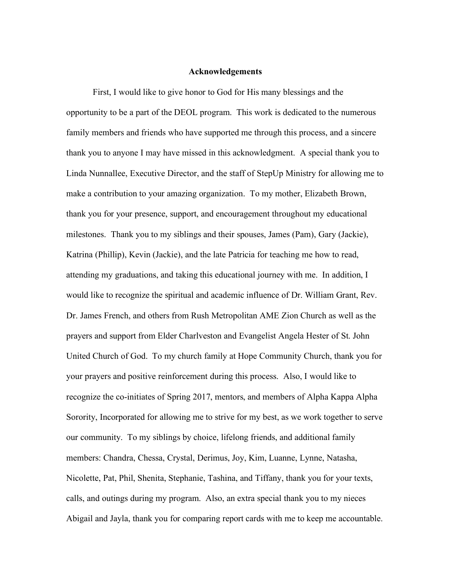#### **Acknowledgements**

First, I would like to give honor to God for His many blessings and the opportunity to be a part of the DEOL program. This work is dedicated to the numerous family members and friends who have supported me through this process, and a sincere thank you to anyone I may have missed in this acknowledgment. A special thank you to Linda Nunnallee, Executive Director, and the staff of StepUp Ministry for allowing me to make a contribution to your amazing organization. To my mother, Elizabeth Brown, thank you for your presence, support, and encouragement throughout my educational milestones. Thank you to my siblings and their spouses, James (Pam), Gary (Jackie), Katrina (Phillip), Kevin (Jackie), and the late Patricia for teaching me how to read, attending my graduations, and taking this educational journey with me. In addition, I would like to recognize the spiritual and academic influence of Dr. William Grant, Rev. Dr. James French, and others from Rush Metropolitan AME Zion Church as well as the prayers and support from Elder Charlveston and Evangelist Angela Hester of St. John United Church of God. To my church family at Hope Community Church, thank you for your prayers and positive reinforcement during this process. Also, I would like to recognize the co-initiates of Spring 2017, mentors, and members of Alpha Kappa Alpha Sorority, Incorporated for allowing me to strive for my best, as we work together to serve our community. To my siblings by choice, lifelong friends, and additional family members: Chandra, Chessa, Crystal, Derimus, Joy, Kim, Luanne, Lynne, Natasha, Nicolette, Pat, Phil, Shenita, Stephanie, Tashina, and Tiffany, thank you for your texts, calls, and outings during my program. Also, an extra special thank you to my nieces Abigail and Jayla, thank you for comparing report cards with me to keep me accountable.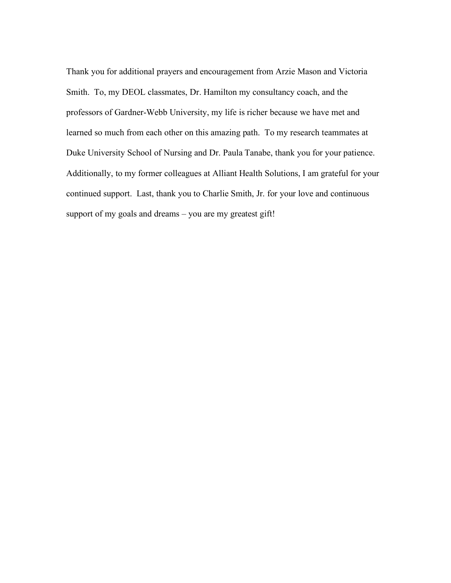Thank you for additional prayers and encouragement from Arzie Mason and Victoria Smith. To, my DEOL classmates, Dr. Hamilton my consultancy coach, and the professors of Gardner-Webb University, my life is richer because we have met and learned so much from each other on this amazing path. To my research teammates at Duke University School of Nursing and Dr. Paula Tanabe, thank you for your patience. Additionally, to my former colleagues at Alliant Health Solutions, I am grateful for your continued support. Last, thank you to Charlie Smith, Jr. for your love and continuous support of my goals and dreams – you are my greatest gift!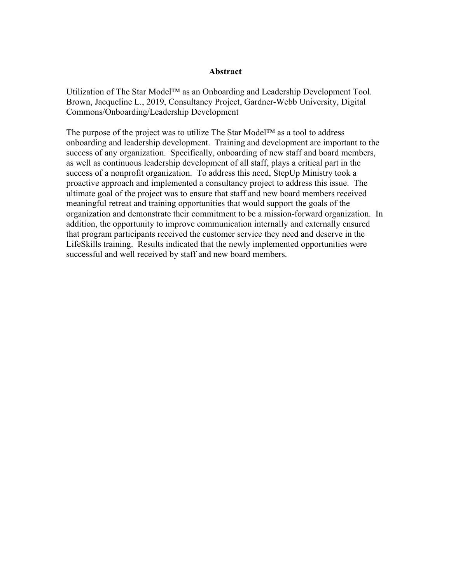#### **Abstract**

Utilization of The Star Model™ as an Onboarding and Leadership Development Tool. Brown, Jacqueline L., 2019, Consultancy Project, Gardner-Webb University, Digital Commons/Onboarding/Leadership Development

The purpose of the project was to utilize The Star Model™ as a tool to address onboarding and leadership development. Training and development are important to the success of any organization. Specifically, onboarding of new staff and board members, as well as continuous leadership development of all staff, plays a critical part in the success of a nonprofit organization. To address this need, StepUp Ministry took a proactive approach and implemented a consultancy project to address this issue. The ultimate goal of the project was to ensure that staff and new board members received meaningful retreat and training opportunities that would support the goals of the organization and demonstrate their commitment to be a mission-forward organization. In addition, the opportunity to improve communication internally and externally ensured that program participants received the customer service they need and deserve in the LifeSkills training. Results indicated that the newly implemented opportunities were successful and well received by staff and new board members.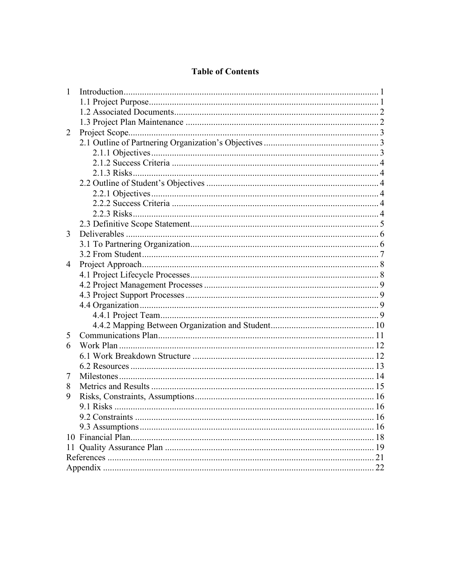# **Table of Contents**

| 1  |    |
|----|----|
|    |    |
|    |    |
|    |    |
| 2  |    |
|    |    |
|    |    |
|    |    |
|    |    |
|    |    |
|    |    |
|    |    |
|    |    |
|    |    |
| 3  |    |
|    |    |
|    |    |
| 4  |    |
|    |    |
|    |    |
|    |    |
|    |    |
|    |    |
|    |    |
| 5  |    |
| 6  |    |
|    |    |
|    |    |
| 7  |    |
| 8  |    |
| 9  |    |
|    |    |
|    |    |
|    | 16 |
|    |    |
| 11 |    |
|    | 21 |
|    | 22 |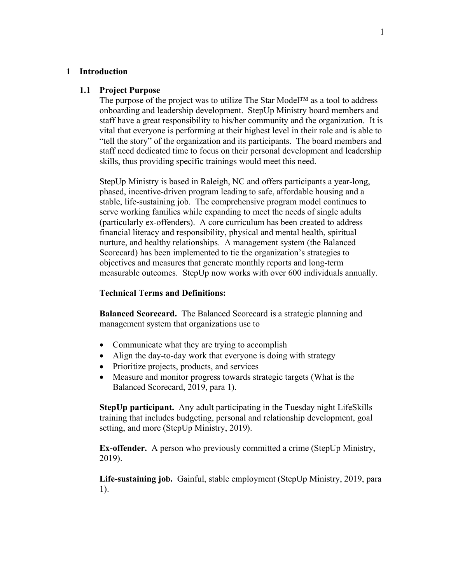#### **1 Introduction**

#### **1.1 Project Purpose**

The purpose of the project was to utilize The Star Model<sup>™</sup> as a tool to address onboarding and leadership development. StepUp Ministry board members and staff have a great responsibility to his/her community and the organization. It is vital that everyone is performing at their highest level in their role and is able to "tell the story" of the organization and its participants. The board members and staff need dedicated time to focus on their personal development and leadership skills, thus providing specific trainings would meet this need.

StepUp Ministry is based in Raleigh, NC and offers participants a year-long, phased, incentive-driven program leading to safe, affordable housing and a stable, life-sustaining job. The comprehensive program model continues to serve working families while expanding to meet the needs of single adults (particularly ex-offenders). A core curriculum has been created to address financial literacy and responsibility, physical and mental health, spiritual nurture, and healthy relationships. A management system (the Balanced Scorecard) has been implemented to tie the organization's strategies to objectives and measures that generate monthly reports and long-term measurable outcomes. StepUp now works with over 600 individuals annually.

#### **Technical Terms and Definitions:**

**Balanced Scorecard.** The Balanced Scorecard is a strategic planning and management system that organizations use to

- Communicate what they are trying to accomplish
- Align the day-to-day work that everyone is doing with strategy
- Prioritize projects, products, and services
- Measure and monitor progress towards strategic targets (What is the Balanced Scorecard, 2019, para 1).

**StepUp participant.** Any adult participating in the Tuesday night LifeSkills training that includes budgeting, personal and relationship development, goal setting, and more (StepUp Ministry, 2019).

**Ex-offender.** A person who previously committed a crime (StepUp Ministry, 2019).

**Life-sustaining job.** Gainful, stable employment (StepUp Ministry, 2019, para 1).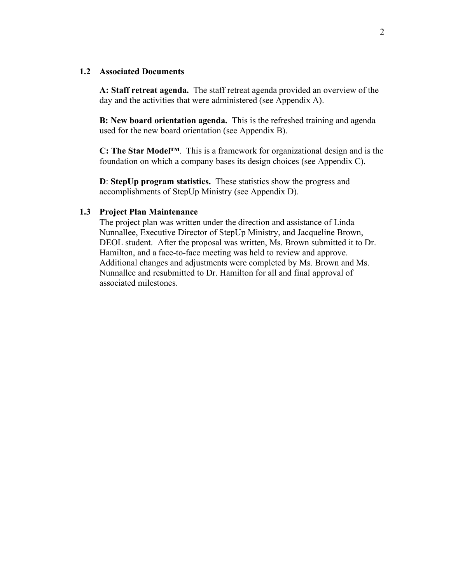#### **1.2 Associated Documents**

**A: Staff retreat agenda.** The staff retreat agenda provided an overview of the day and the activities that were administered (see Appendix A).

**B: New board orientation agenda.** This is the refreshed training and agenda used for the new board orientation (see Appendix B).

**C: The Star Model™**. This is a framework for organizational design and is the foundation on which a company bases its design choices (see Appendix C).

**D**: **StepUp program statistics.** These statistics show the progress and accomplishments of StepUp Ministry (see Appendix D).

#### **1.3 Project Plan Maintenance**

The project plan was written under the direction and assistance of Linda Nunnallee, Executive Director of StepUp Ministry, and Jacqueline Brown, DEOL student. After the proposal was written, Ms. Brown submitted it to Dr. Hamilton, and a face-to-face meeting was held to review and approve. Additional changes and adjustments were completed by Ms. Brown and Ms. Nunnallee and resubmitted to Dr. Hamilton for all and final approval of associated milestones.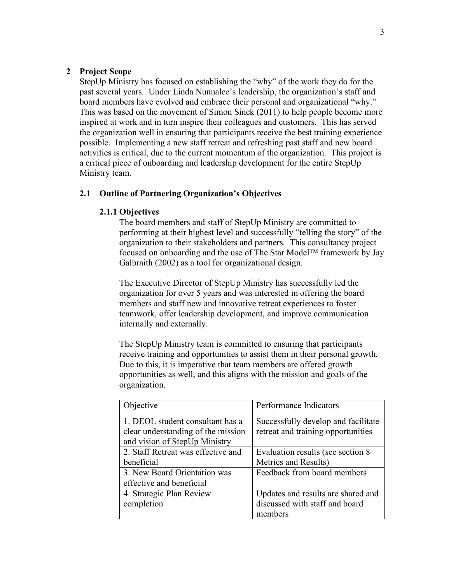#### **2 Project Scope**

StepUp Ministry has focused on establishing the "why" of the work they do for the past several years. Under Linda Nunnalee's leadership, the organization's staff and board members have evolved and embrace their personal and organizational "why." This was based on the movement of Simon Sinek (2011) to help people become more inspired at work and in turn inspire their colleagues and customers. This has served the organization well in ensuring that participants receive the best training experience possible. Implementing a new staff retreat and refreshing past staff and new board activities is critical, due to the current momentum of the organization. This project is a critical piece of onboarding and leadership development for the entire StepUp Ministry team.

#### **2.1 Outline of Partnering Organization's Objectives**

#### **2.1.1 Objectives**

The board members and staff of StepUp Ministry are committed to performing at their highest level and successfully "telling the story" of the organization to their stakeholders and partners. This consultancy project focused on onboarding and the use of The Star Model™ framework by Jay Galbraith (2002) as a tool for organizational design.

The Executive Director of StepUp Ministry has successfully led the organization for over 5 years and was interested in offering the board members and staff new and innovative retreat experiences to foster teamwork, offer leadership development, and improve communication internally and externally.

The StepUp Ministry team is committed to ensuring that participants receive training and opportunities to assist them in their personal growth. Due to this, it is imperative that team members are offered growth opportunities as well, and this aligns with the mission and goals of the organization.

| Objective                                                                                               | Performance Indicators                                                    |
|---------------------------------------------------------------------------------------------------------|---------------------------------------------------------------------------|
| 1. DEOL student consultant has a<br>clear understanding of the mission<br>and vision of StepUp Ministry | Successfully develop and facilitate<br>retreat and training opportunities |
| 2. Staff Retreat was effective and                                                                      | Evaluation results (see section 8                                         |
| beneficial                                                                                              | Metrics and Results)                                                      |
| 3. New Board Orientation was                                                                            | Feedback from board members                                               |
| effective and beneficial                                                                                |                                                                           |
| 4. Strategic Plan Review                                                                                | Updates and results are shared and                                        |
| completion                                                                                              | discussed with staff and board                                            |
|                                                                                                         | members                                                                   |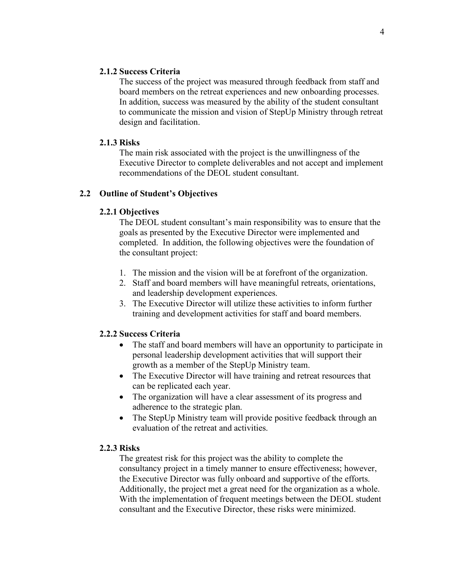#### **2.1.2 Success Criteria**

The success of the project was measured through feedback from staff and board members on the retreat experiences and new onboarding processes. In addition, success was measured by the ability of the student consultant to communicate the mission and vision of StepUp Ministry through retreat design and facilitation.

#### **2.1.3 Risks**

The main risk associated with the project is the unwillingness of the Executive Director to complete deliverables and not accept and implement recommendations of the DEOL student consultant.

#### **2.2 Outline of Student's Objectives**

#### **2.2.1 Objectives**

The DEOL student consultant's main responsibility was to ensure that the goals as presented by the Executive Director were implemented and completed. In addition, the following objectives were the foundation of the consultant project:

- 1. The mission and the vision will be at forefront of the organization.
- 2. Staff and board members will have meaningful retreats, orientations, and leadership development experiences.
- 3. The Executive Director will utilize these activities to inform further training and development activities for staff and board members.

#### **2.2.2 Success Criteria**

- The staff and board members will have an opportunity to participate in personal leadership development activities that will support their growth as a member of the StepUp Ministry team.
- The Executive Director will have training and retreat resources that can be replicated each year.
- The organization will have a clear assessment of its progress and adherence to the strategic plan.
- The StepUp Ministry team will provide positive feedback through an evaluation of the retreat and activities.

#### **2.2.3 Risks**

The greatest risk for this project was the ability to complete the consultancy project in a timely manner to ensure effectiveness; however, the Executive Director was fully onboard and supportive of the efforts. Additionally, the project met a great need for the organization as a whole. With the implementation of frequent meetings between the DEOL student consultant and the Executive Director, these risks were minimized.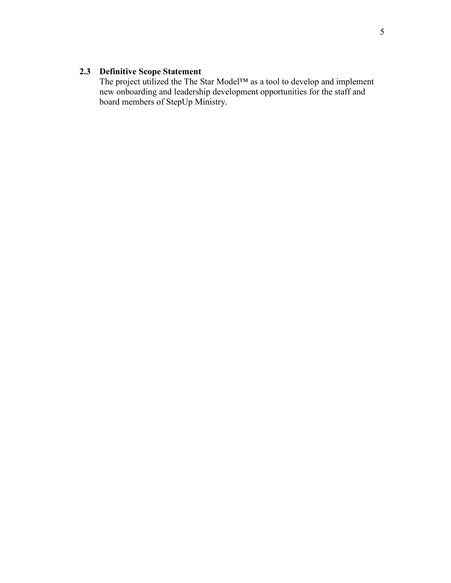# **2.3 Definitive Scope Statement**

The project utilized the The Star Model™ as a tool to develop and implement new onboarding and leadership development opportunities for the staff and board members of StepUp Ministry.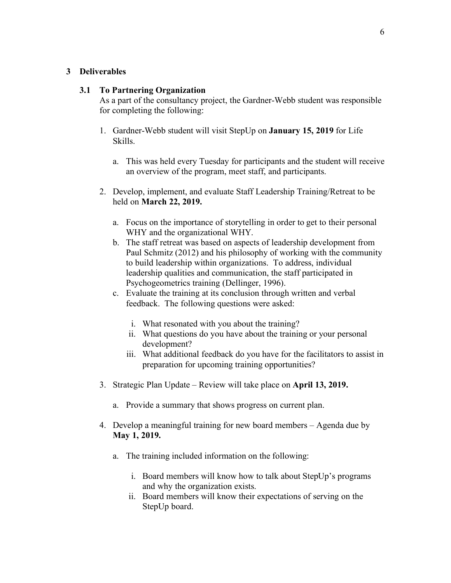#### **3 Deliverables**

#### **3.1 To Partnering Organization**

As a part of the consultancy project, the Gardner-Webb student was responsible for completing the following:

- 1. Gardner-Webb student will visit StepUp on **January 15, 2019** for Life Skills.
	- a. This was held every Tuesday for participants and the student will receive an overview of the program, meet staff, and participants.
- 2. Develop, implement, and evaluate Staff Leadership Training/Retreat to be held on **March 22, 2019.**
	- a. Focus on the importance of storytelling in order to get to their personal WHY and the organizational WHY.
	- b. The staff retreat was based on aspects of leadership development from Paul Schmitz (2012) and his philosophy of working with the community to build leadership within organizations. To address, individual leadership qualities and communication, the staff participated in Psychogeometrics training (Dellinger, 1996).
	- c. Evaluate the training at its conclusion through written and verbal feedback. The following questions were asked:
		- i. What resonated with you about the training?
		- ii. What questions do you have about the training or your personal development?
		- iii. What additional feedback do you have for the facilitators to assist in preparation for upcoming training opportunities?
- 3. Strategic Plan Update Review will take place on **April 13, 2019.**
	- a. Provide a summary that shows progress on current plan.
- 4. Develop a meaningful training for new board members Agenda due by **May 1, 2019.**
	- a. The training included information on the following:
		- i. Board members will know how to talk about StepUp's programs and why the organization exists.
		- ii. Board members will know their expectations of serving on the StepUp board.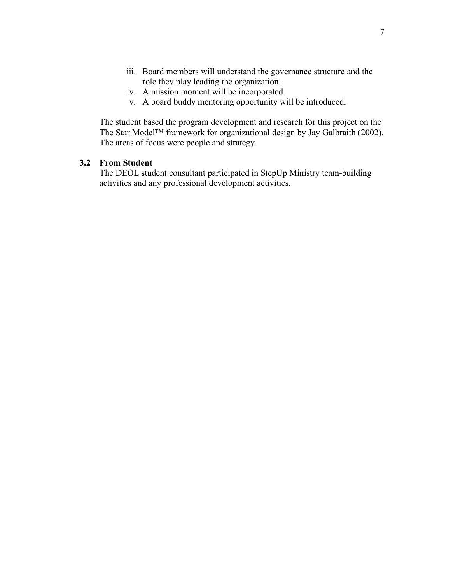- iii. Board members will understand the governance structure and the role they play leading the organization.
- iv. A mission moment will be incorporated.
- v. A board buddy mentoring opportunity will be introduced.

The student based the program development and research for this project on the The Star Model™ framework for organizational design by Jay Galbraith (2002). The areas of focus were people and strategy.

## **3.2 From Student**

The DEOL student consultant participated in StepUp Ministry team-building activities and any professional development activities*.*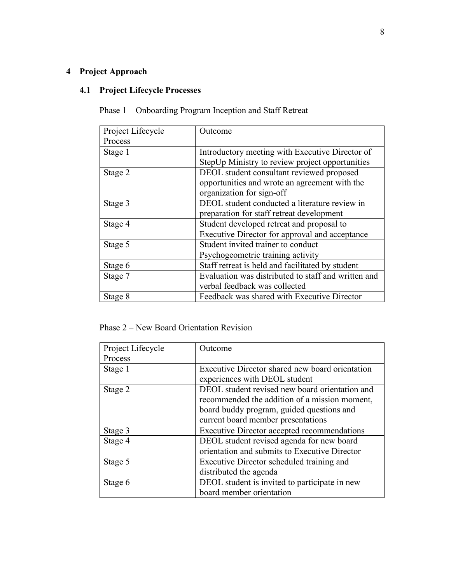# **4 Project Approach**

# **4.1 Project Lifecycle Processes**

Phase 1 – Onboarding Program Inception and Staff Retreat

| Project Lifecycle | Outcome                                             |
|-------------------|-----------------------------------------------------|
| Process           |                                                     |
| Stage 1           | Introductory meeting with Executive Director of     |
|                   | StepUp Ministry to review project opportunities     |
| Stage 2           | DEOL student consultant reviewed proposed           |
|                   | opportunities and wrote an agreement with the       |
|                   | organization for sign-off                           |
| Stage 3           | DEOL student conducted a literature review in       |
|                   | preparation for staff retreat development           |
| Stage 4           | Student developed retreat and proposal to           |
|                   | Executive Director for approval and acceptance      |
| Stage 5           | Student invited trainer to conduct                  |
|                   | Psychogeometric training activity                   |
| Stage 6           | Staff retreat is held and facilitated by student    |
| Stage 7           | Evaluation was distributed to staff and written and |
|                   | verbal feedback was collected                       |
| Stage 8           | Feedback was shared with Executive Director         |

Phase 2 – New Board Orientation Revision

| Project Lifecycle | Outcome                                            |
|-------------------|----------------------------------------------------|
| Process           |                                                    |
| Stage 1           | Executive Director shared new board orientation    |
|                   | experiences with DEOL student                      |
| Stage 2           | DEOL student revised new board orientation and     |
|                   | recommended the addition of a mission moment,      |
|                   | board buddy program, guided questions and          |
|                   | current board member presentations                 |
| Stage 3           | <b>Executive Director accepted recommendations</b> |
| Stage 4           | DEOL student revised agenda for new board          |
|                   | orientation and submits to Executive Director      |
| Stage 5           | Executive Director scheduled training and          |
|                   | distributed the agenda                             |
| Stage 6           | DEOL student is invited to participate in new      |
|                   | board member orientation                           |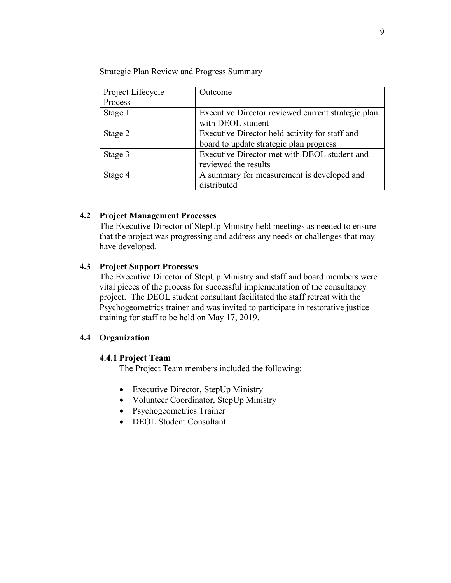Strategic Plan Review and Progress Summary

| Project Lifecycle | Outcome                                            |  |  |
|-------------------|----------------------------------------------------|--|--|
| Process           |                                                    |  |  |
| Stage 1           | Executive Director reviewed current strategic plan |  |  |
|                   | with DEOL student                                  |  |  |
| Stage 2           | Executive Director held activity for staff and     |  |  |
|                   | board to update strategic plan progress            |  |  |
| Stage 3           | Executive Director met with DEOL student and       |  |  |
|                   | reviewed the results                               |  |  |
| Stage 4           | A summary for measurement is developed and         |  |  |
|                   | distributed                                        |  |  |

#### **4.2 Project Management Processes**

The Executive Director of StepUp Ministry held meetings as needed to ensure that the project was progressing and address any needs or challenges that may have developed.

#### **4.3 Project Support Processes**

The Executive Director of StepUp Ministry and staff and board members were vital pieces of the process for successful implementation of the consultancy project. The DEOL student consultant facilitated the staff retreat with the Psychogeometrics trainer and was invited to participate in restorative justice training for staff to be held on May 17, 2019.

#### **4.4 Organization**

#### **4.4.1 Project Team**

The Project Team members included the following:

- Executive Director, StepUp Ministry
- Volunteer Coordinator, StepUp Ministry
- Psychogeometrics Trainer
- DEOL Student Consultant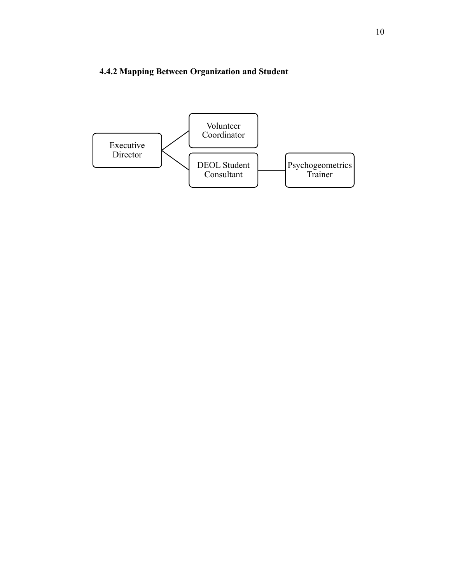# **4.4.2 Mapping Between Organization and Student**

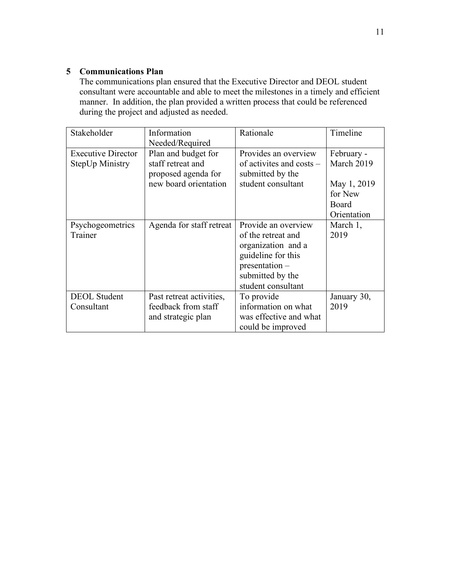# **5 Communications Plan**

The communications plan ensured that the Executive Director and DEOL student consultant were accountable and able to meet the milestones in a timely and efficient manner. In addition, the plan provided a written process that could be referenced during the project and adjusted as needed.

| Stakeholder                                  | Information<br>Needed/Required                                                           | Rationale                                                                                                                                         | Timeline                                                                   |
|----------------------------------------------|------------------------------------------------------------------------------------------|---------------------------------------------------------------------------------------------------------------------------------------------------|----------------------------------------------------------------------------|
| <b>Executive Director</b><br>StepUp Ministry | Plan and budget for<br>staff retreat and<br>proposed agenda for<br>new board orientation | Provides an overview<br>of activites and costs $-$<br>submitted by the<br>student consultant                                                      | February -<br>March 2019<br>May 1, 2019<br>for New<br>Board<br>Orientation |
| Psychogeometrics<br>Trainer                  | Agenda for staff retreat                                                                 | Provide an overview<br>of the retreat and<br>organization and a<br>guideline for this<br>presentation –<br>submitted by the<br>student consultant | March 1,<br>2019                                                           |
| <b>DEOL</b> Student<br>Consultant            | Past retreat activities,<br>feedback from staff<br>and strategic plan                    | To provide<br>information on what<br>was effective and what<br>could be improved                                                                  | January 30,<br>2019                                                        |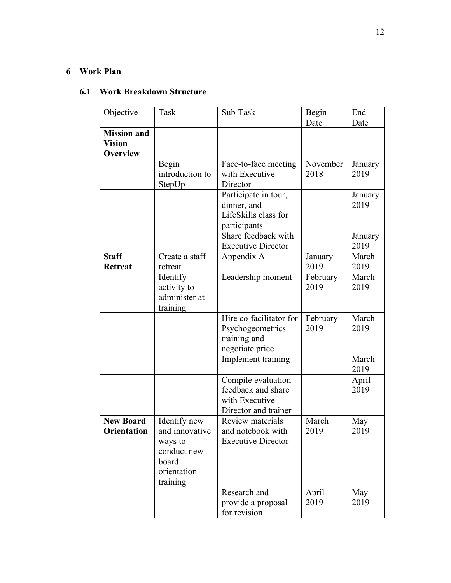# **6 Work Plan**

# **6.1 Work Breakdown Structure**

| Objective                                              | Task                                                                                         | Sub-Task                                                                           | <b>Begin</b>     | End             |
|--------------------------------------------------------|----------------------------------------------------------------------------------------------|------------------------------------------------------------------------------------|------------------|-----------------|
|                                                        |                                                                                              |                                                                                    | Date             | Date            |
| <b>Mission and</b><br><b>Vision</b><br><b>Overview</b> |                                                                                              |                                                                                    |                  |                 |
|                                                        | Begin<br>introduction to<br>StepUp                                                           | Face-to-face meeting<br>with Executive<br>Director                                 | November<br>2018 | January<br>2019 |
|                                                        |                                                                                              | Participate in tour,<br>dinner, and<br>LifeSkills class for<br>participants        |                  | January<br>2019 |
|                                                        |                                                                                              | Share feedback with<br><b>Executive Director</b>                                   |                  | January<br>2019 |
| <b>Staff</b><br><b>Retreat</b>                         | Create a staff<br>retreat                                                                    | Appendix A                                                                         | January<br>2019  | March<br>2019   |
|                                                        | Identify<br>activity to<br>administer at<br>training                                         | Leadership moment                                                                  | February<br>2019 | March<br>2019   |
|                                                        |                                                                                              | Hire co-facilitator for<br>Psychogeometrics<br>training and<br>negotiate price     | February<br>2019 | March<br>2019   |
|                                                        |                                                                                              | Implement training                                                                 |                  | March<br>2019   |
|                                                        |                                                                                              | Compile evaluation<br>feedback and share<br>with Executive<br>Director and trainer |                  | April<br>2019   |
| <b>New Board</b><br>Orientation                        | Identify new<br>and innovative<br>ways to<br>conduct new<br>board<br>orientation<br>training | Review materials<br>and notebook with<br><b>Executive Director</b>                 | March<br>2019    | May<br>2019     |
|                                                        |                                                                                              | Research and<br>provide a proposal<br>for revision                                 | April<br>2019    | May<br>2019     |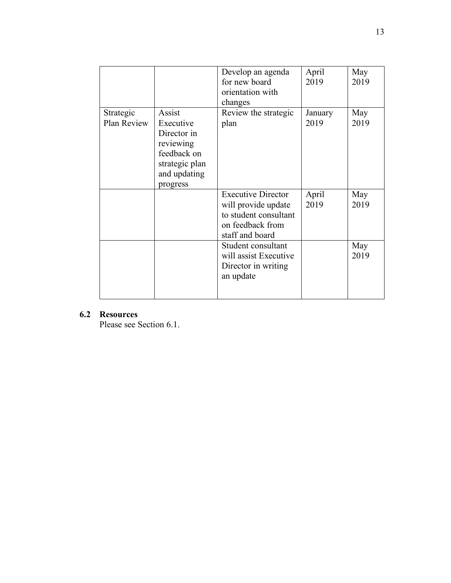|             |                | Develop an agenda         | April   | May  |
|-------------|----------------|---------------------------|---------|------|
|             |                | for new board             | 2019    | 2019 |
|             |                | orientation with          |         |      |
|             |                | changes                   |         |      |
| Strategic   | Assist         | Review the strategic      | January | May  |
| Plan Review | Executive      | plan                      | 2019    | 2019 |
|             | Director in    |                           |         |      |
|             | reviewing      |                           |         |      |
|             | feedback on    |                           |         |      |
|             | strategic plan |                           |         |      |
|             | and updating   |                           |         |      |
|             | progress       |                           |         |      |
|             |                | <b>Executive Director</b> | April   | May  |
|             |                | will provide update       | 2019    | 2019 |
|             |                | to student consultant     |         |      |
|             |                | on feedback from          |         |      |
|             |                | staff and board           |         |      |
|             |                | Student consultant        |         | May  |
|             |                | will assist Executive     |         | 2019 |
|             |                | Director in writing       |         |      |
|             |                | an update                 |         |      |
|             |                |                           |         |      |
|             |                |                           |         |      |

# **6.2 Resources**

Please see Section 6.1.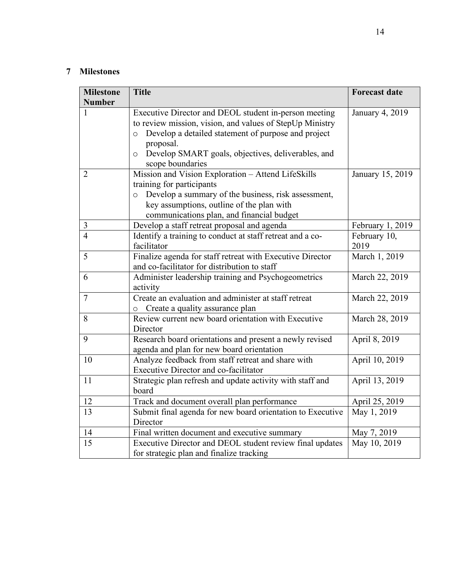# **7 Milestones**

| <b>Milestone</b><br><b>Number</b> | <b>Title</b>                                                                                                                                                                                                                                                                          | <b>Forecast date</b> |
|-----------------------------------|---------------------------------------------------------------------------------------------------------------------------------------------------------------------------------------------------------------------------------------------------------------------------------------|----------------------|
| 1                                 | Executive Director and DEOL student in-person meeting<br>to review mission, vision, and values of StepUp Ministry<br>Develop a detailed statement of purpose and project<br>$\circ$<br>proposal.<br>Develop SMART goals, objectives, deliverables, and<br>$\circ$<br>scope boundaries | January 4, 2019      |
| $\overline{2}$                    | Mission and Vision Exploration - Attend LifeSkills<br>training for participants<br>Develop a summary of the business, risk assessment,<br>$\circ$<br>key assumptions, outline of the plan with<br>communications plan, and financial budget                                           | January 15, 2019     |
| 3                                 | Develop a staff retreat proposal and agenda                                                                                                                                                                                                                                           | February 1, 2019     |
| $\overline{4}$                    | Identify a training to conduct at staff retreat and a co-<br>facilitator                                                                                                                                                                                                              | February 10,<br>2019 |
| 5                                 | Finalize agenda for staff retreat with Executive Director<br>and co-facilitator for distribution to staff                                                                                                                                                                             | March 1, 2019        |
| 6                                 | Administer leadership training and Psychogeometrics<br>activity                                                                                                                                                                                                                       | March 22, 2019       |
| $\overline{7}$                    | Create an evaluation and administer at staff retreat<br>Create a quality assurance plan                                                                                                                                                                                               | March 22, 2019       |
| 8                                 | Review current new board orientation with Executive<br>Director                                                                                                                                                                                                                       | March 28, 2019       |
| 9                                 | Research board orientations and present a newly revised<br>agenda and plan for new board orientation                                                                                                                                                                                  | April 8, 2019        |
| 10                                | Analyze feedback from staff retreat and share with<br>Executive Director and co-facilitator                                                                                                                                                                                           | April 10, 2019       |
| 11                                | Strategic plan refresh and update activity with staff and<br>board                                                                                                                                                                                                                    | April 13, 2019       |
| 12                                | Track and document overall plan performance                                                                                                                                                                                                                                           | April 25, 2019       |
| 13                                | Submit final agenda for new board orientation to Executive<br>Director                                                                                                                                                                                                                | May 1, 2019          |
| 14                                | Final written document and executive summary                                                                                                                                                                                                                                          | May 7, 2019          |
| 15                                | Executive Director and DEOL student review final updates<br>for strategic plan and finalize tracking                                                                                                                                                                                  | May 10, 2019         |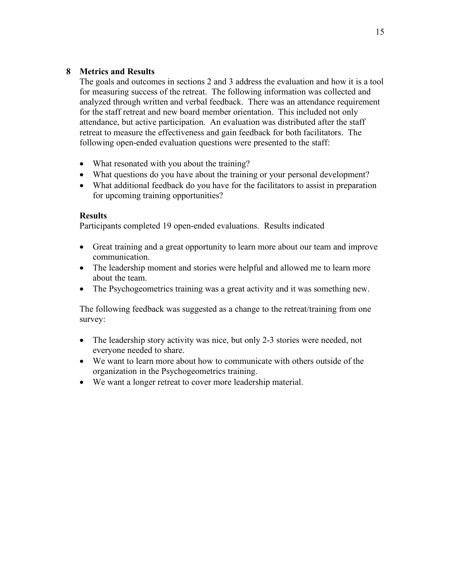# **8 Metrics and Results**

The goals and outcomes in sections 2 and 3 address the evaluation and how it is a tool for measuring success of the retreat. The following information was collected and analyzed through written and verbal feedback. There was an attendance requirement for the staff retreat and new board member orientation. This included not only attendance, but active participation. An evaluation was distributed after the staff retreat to measure the effectiveness and gain feedback for both facilitators. The following open-ended evaluation questions were presented to the staff:

- What resonated with you about the training?
- What questions do you have about the training or your personal development?
- What additional feedback do you have for the facilitators to assist in preparation for upcoming training opportunities?

#### **Results**

Participants completed 19 open-ended evaluations. Results indicated

- Great training and a great opportunity to learn more about our team and improve communication.
- The leadership moment and stories were helpful and allowed me to learn more about the team.
- The Psychogeometrics training was a great activity and it was something new.

The following feedback was suggested as a change to the retreat/training from one survey:

- The leadership story activity was nice, but only 2-3 stories were needed, not everyone needed to share.
- We want to learn more about how to communicate with others outside of the organization in the Psychogeometrics training.
- We want a longer retreat to cover more leadership material.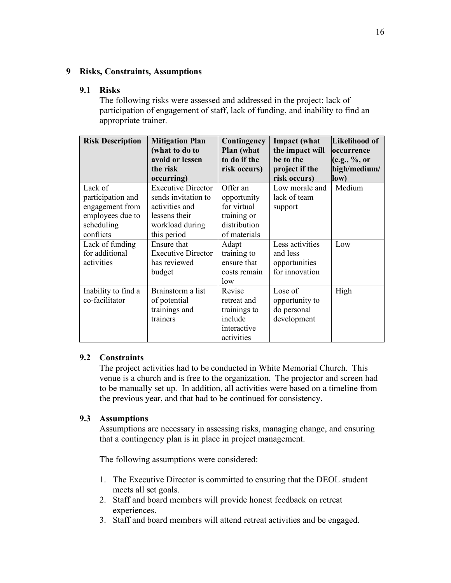#### **9 Risks, Constraints, Assumptions**

#### **9.1 Risks**

The following risks were assessed and addressed in the project: lack of participation of engagement of staff, lack of funding, and inability to find an appropriate trainer.

| <b>Risk Description</b>                                                                        | <b>Mitigation Plan</b><br>(what to do to<br>avoid or lessen<br>the risk                                                             | Contingency<br>Plan (what<br>to do if the<br>risk occurs)                             | <b>Impact</b> (what<br>the impact will<br>be to the<br>project if the | <b>Likelihood of</b><br><b>loccurrence</b><br>(e.g., %<br>high/medium/ |
|------------------------------------------------------------------------------------------------|-------------------------------------------------------------------------------------------------------------------------------------|---------------------------------------------------------------------------------------|-----------------------------------------------------------------------|------------------------------------------------------------------------|
| Lack of<br>participation and<br>engagement from<br>employees due to<br>scheduling<br>conflicts | occurring)<br><b>Executive Director</b><br>sends invitation to<br>activities and<br>lessens their<br>workload during<br>this period | Offer an<br>opportunity<br>for virtual<br>training or<br>distribution<br>of materials | risk occurs)<br>Low morale and<br>lack of team<br>support             | low)<br>Medium                                                         |
| Lack of funding<br>for additional<br>activities                                                | Ensure that<br><b>Executive Director</b><br>has reviewed<br>budget                                                                  | Adapt<br>training to<br>ensure that<br>costs remain<br>low                            | Less activities<br>and less<br>opportunities<br>for innovation        | Low                                                                    |
| Inability to find a<br>co-facilitator                                                          | Brainstorm a list<br>of potential<br>trainings and<br>trainers                                                                      | Revise<br>retreat and<br>trainings to<br>include<br>interactive<br>activities         | Lose of<br>opportunity to<br>do personal<br>development               | High                                                                   |

## **9.2 Constraints**

The project activities had to be conducted in White Memorial Church. This venue is a church and is free to the organization. The projector and screen had to be manually set up. In addition, all activities were based on a timeline from the previous year, and that had to be continued for consistency.

## **9.3 Assumptions**

Assumptions are necessary in assessing risks, managing change, and ensuring that a contingency plan is in place in project management.

The following assumptions were considered:

- 1. The Executive Director is committed to ensuring that the DEOL student meets all set goals.
- 2. Staff and board members will provide honest feedback on retreat experiences.
- 3. Staff and board members will attend retreat activities and be engaged.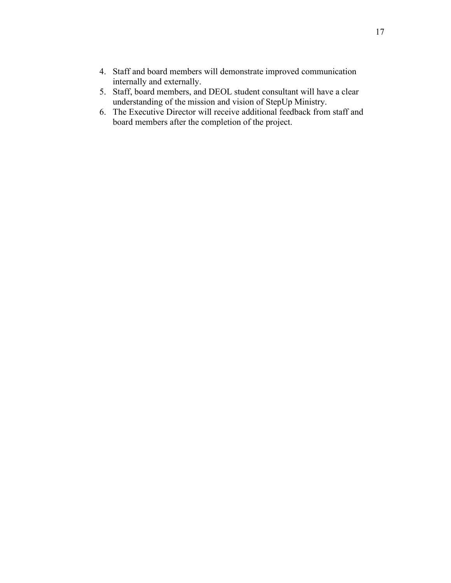- 4. Staff and board members will demonstrate improved communication internally and externally.
- 5. Staff, board members, and DEOL student consultant will have a clear understanding of the mission and vision of StepUp Ministry.
- 6. The Executive Director will receive additional feedback from staff and board members after the completion of the project.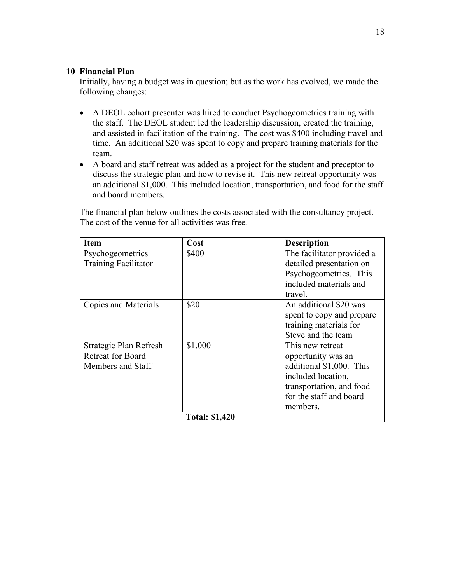#### **10 Financial Plan**

Initially, having a budget was in question; but as the work has evolved, we made the following changes:

- A DEOL cohort presenter was hired to conduct Psychogeometrics training with the staff. The DEOL student led the leadership discussion, created the training, and assisted in facilitation of the training. The cost was \$400 including travel and time. An additional \$20 was spent to copy and prepare training materials for the team.
- A board and staff retreat was added as a project for the student and preceptor to discuss the strategic plan and how to revise it. This new retreat opportunity was an additional \$1,000. This included location, transportation, and food for the staff and board members.

The financial plan below outlines the costs associated with the consultancy project. The cost of the venue for all activities was free.

| <b>Item</b>                 | Cost                  | <b>Description</b>         |
|-----------------------------|-----------------------|----------------------------|
| Psychogeometrics            | \$400                 | The facilitator provided a |
| <b>Training Facilitator</b> |                       | detailed presentation on   |
|                             |                       | Psychogeometrics. This     |
|                             |                       | included materials and     |
|                             |                       | travel.                    |
| Copies and Materials        | \$20                  | An additional \$20 was     |
|                             |                       | spent to copy and prepare  |
|                             |                       | training materials for     |
|                             |                       | Steve and the team         |
| Strategic Plan Refresh      | \$1,000               | This new retreat           |
| <b>Retreat for Board</b>    |                       | opportunity was an         |
| Members and Staff           |                       | additional \$1,000. This   |
|                             |                       | included location,         |
|                             |                       | transportation, and food   |
|                             |                       | for the staff and board    |
|                             |                       | members.                   |
|                             | <b>Total: \$1,420</b> |                            |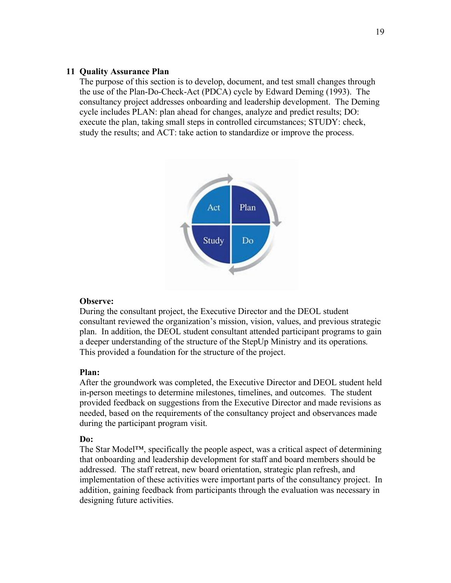#### **11 Quality Assurance Plan**

The purpose of this section is to develop, document, and test small changes through the use of the Plan-Do-Check-Act (PDCA) cycle by Edward Deming (1993). The consultancy project addresses onboarding and leadership development. The Deming cycle includes PLAN: plan ahead for changes, analyze and predict results; DO: execute the plan, taking small steps in controlled circumstances; STUDY: check, study the results; and ACT: take action to standardize or improve the process.



#### **Observe:**

During the consultant project, the Executive Director and the DEOL student consultant reviewed the organization's mission, vision, values, and previous strategic plan. In addition, the DEOL student consultant attended participant programs to gain a deeper understanding of the structure of the StepUp Ministry and its operations. This provided a foundation for the structure of the project.

#### **Plan:**

After the groundwork was completed, the Executive Director and DEOL student held in-person meetings to determine milestones, timelines, and outcomes. The student provided feedback on suggestions from the Executive Director and made revisions as needed, based on the requirements of the consultancy project and observances made during the participant program visit.

#### **Do:**

The Star Model™, specifically the people aspect, was a critical aspect of determining that onboarding and leadership development for staff and board members should be addressed. The staff retreat, new board orientation, strategic plan refresh, and implementation of these activities were important parts of the consultancy project. In addition, gaining feedback from participants through the evaluation was necessary in designing future activities.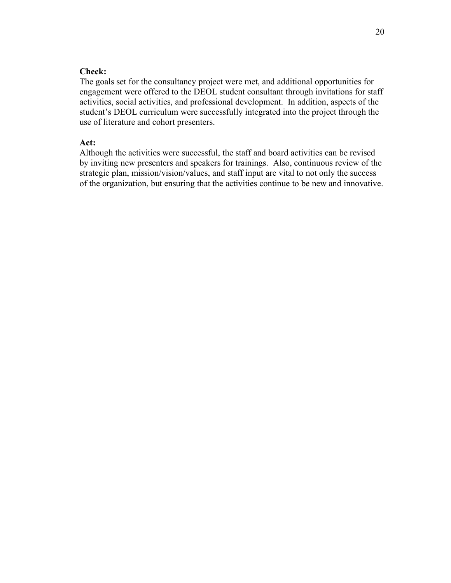### **Check:**

The goals set for the consultancy project were met, and additional opportunities for engagement were offered to the DEOL student consultant through invitations for staff activities, social activities, and professional development. In addition, aspects of the student's DEOL curriculum were successfully integrated into the project through the use of literature and cohort presenters.

#### **Act:**

Although the activities were successful, the staff and board activities can be revised by inviting new presenters and speakers for trainings. Also, continuous review of the strategic plan, mission/vision/values, and staff input are vital to not only the success of the organization, but ensuring that the activities continue to be new and innovative.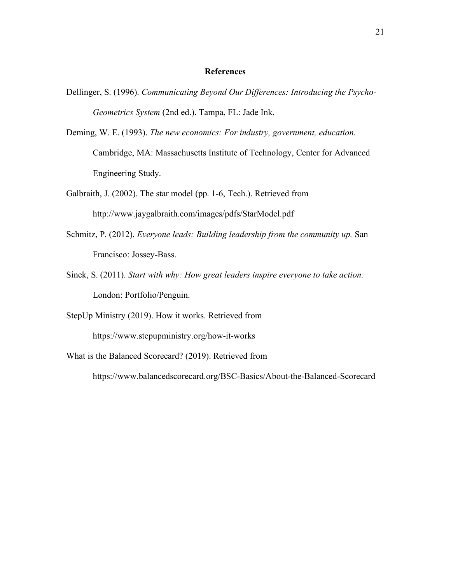#### **References**

- Dellinger, S. (1996). *Communicating Beyond Our Differences: Introducing the Psycho-Geometrics System* (2nd ed.). Tampa, FL: Jade Ink.
- Deming, W. E. (1993). *The new economics: For industry, government, education.*  Cambridge, MA: Massachusetts Institute of Technology, Center for Advanced Engineering Study.
- Galbraith, J. (2002). The star model (pp. 1-6, Tech.). Retrieved from http://www.jaygalbraith.com/images/pdfs/StarModel.pdf
- Schmitz, P. (2012). *Everyone leads: Building leadership from the community up.* San Francisco: Jossey-Bass.
- Sinek, S. (2011). *Start with why: How great leaders inspire everyone to take action.*  London: Portfolio/Penguin.

StepUp Ministry (2019). How it works. Retrieved from

https://www.stepupministry.org/how-it-works

What is the Balanced Scorecard? (2019). Retrieved from

https://www.balancedscorecard.org/BSC-Basics/About-the-Balanced-Scorecard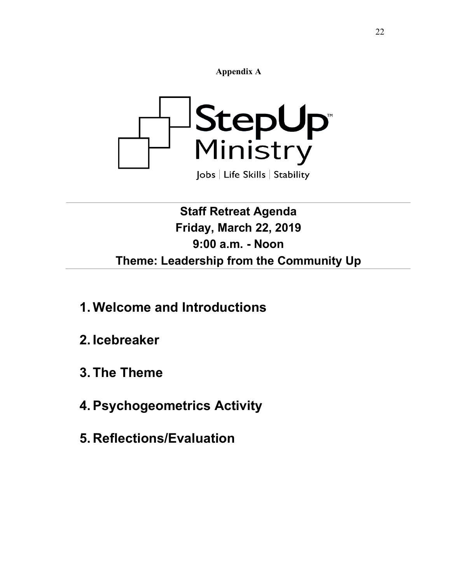**Appendix A**



# **Staff Retreat Agenda Friday, March 22, 2019 9:00 a.m. - Noon Theme: Leadership from the Community Up**

- **1. Welcome and Introductions**
- **2. Icebreaker**
- **3. The Theme**
- **4.Psychogeometrics Activity**
- **5. Reflections/Evaluation**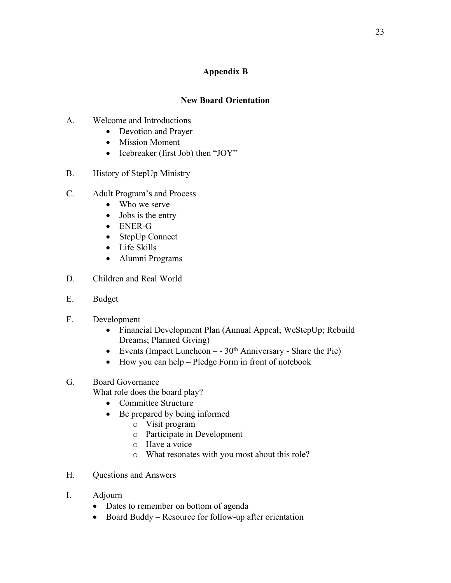# **Appendix B**

# **New Board Orientation**

- A. Welcome and Introductions
	- Devotion and Prayer
	- Mission Moment
	- Icebreaker (first Job) then "JOY"
- B. History of StepUp Ministry
- C. Adult Program's and Process
	- Who we serve
	- Jobs is the entry
	- ENER-G
	- StepUp Connect
	- Life Skills
	- Alumni Programs
- D. Children and Real World
- E. Budget
- F. Development
	- Financial Development Plan (Annual Appeal; WeStepUp; Rebuild Dreams; Planned Giving)
	- Events (Impact Luncheon  $-30<sup>th</sup>$  Anniversary Share the Pie)
	- How you can help Pledge Form in front of notebook
- G. Board Governance
	- What role does the board play?
		- Committee Structure
		- Be prepared by being informed
			- o Visit program
			- o Participate in Development
			- o Have a voice
			- o What resonates with you most about this role?
- H. Questions and Answers
- I. Adjourn
	- Dates to remember on bottom of agenda
	- Board Buddy Resource for follow-up after orientation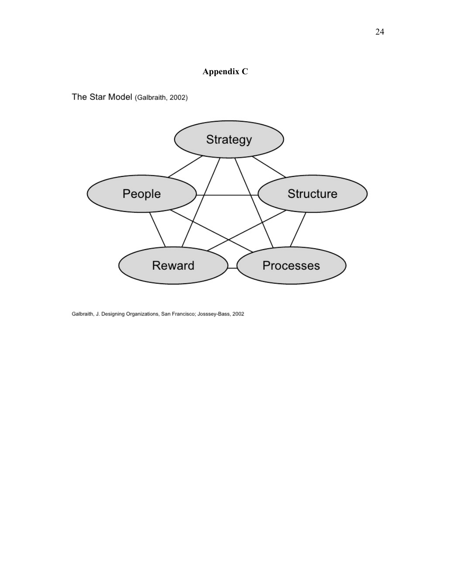# **Appendix C**

The Star Model (Galbraith, 2002)



Galbraith, J. Designing Organizations, San Francisco; Josssey-Bass, 2002